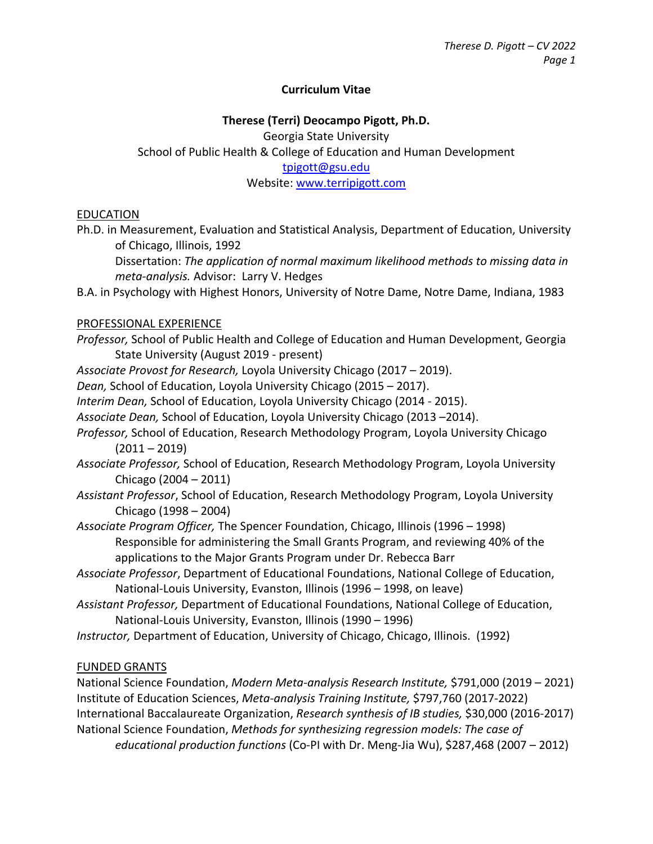### **Curriculum Vitae**

## **Therese (Terri) Deocampo Pigott, Ph.D.** Georgia State University School of Public Health & College of Education and Human Development [tpigott@gsu.edu](mailto:tpigott@gsu.edu) Website[: www.terripigott.com](http://www.terripigott.com/)

#### EDUCATION

Ph.D. in Measurement, Evaluation and Statistical Analysis, Department of Education, University of Chicago, Illinois, 1992

Dissertation: *The application of normal maximum likelihood methods to missing data in meta-analysis.* Advisor: Larry V. Hedges

B.A. in Psychology with Highest Honors, University of Notre Dame, Notre Dame, Indiana, 1983

#### PROFESSIONAL EXPERIENCE

- *Professor,* School of Public Health and College of Education and Human Development, Georgia State University (August 2019 - present)
- *Associate Provost for Research,* Loyola University Chicago (2017 2019).
- *Dean,* School of Education, Loyola University Chicago (2015 2017).
- *Interim Dean,* School of Education, Loyola University Chicago (2014 2015).
- *Associate Dean,* School of Education, Loyola University Chicago (2013 –2014).
- *Professor,* School of Education, Research Methodology Program, Loyola University Chicago  $(2011 - 2019)$
- *Associate Professor,* School of Education, Research Methodology Program, Loyola University Chicago (2004 – 2011)
- *Assistant Professor*, School of Education, Research Methodology Program, Loyola University Chicago (1998 – 2004)
- *Associate Program Officer,* The Spencer Foundation, Chicago, Illinois (1996 1998) Responsible for administering the Small Grants Program, and reviewing 40% of the applications to the Major Grants Program under Dr. Rebecca Barr
- *Associate Professor*, Department of Educational Foundations, National College of Education, National-Louis University, Evanston, Illinois (1996 – 1998, on leave)
- *Assistant Professor,* Department of Educational Foundations, National College of Education, National-Louis University, Evanston, Illinois (1990 – 1996)
- *Instructor,* Department of Education, University of Chicago, Chicago, Illinois. (1992)

#### FUNDED GRANTS

National Science Foundation, *Modern Meta-analysis Research Institute,* \$791,000 (2019 – 2021) Institute of Education Sciences, *Meta-analysis Training Institute,* \$797,760 (2017-2022) International Baccalaureate Organization, *Research synthesis of IB studies,* \$30,000 (2016-2017) National Science Foundation, *Methods for synthesizing regression models: The case of educational production functions* (Co-PI with Dr. Meng-Jia Wu), \$287,468 (2007 – 2012)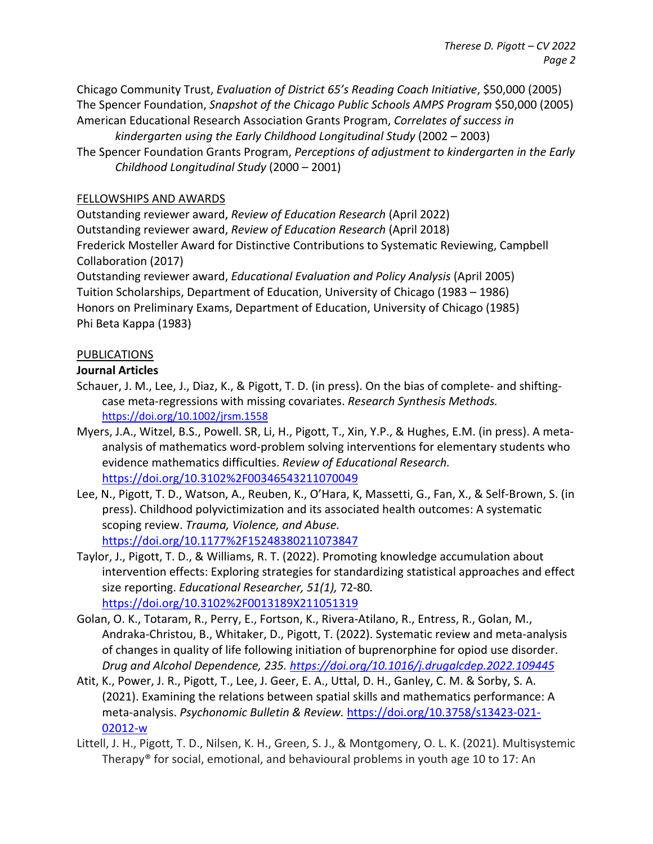Chicago Community Trust, *Evaluation of District 65's Reading Coach Initiative*, \$50,000 (2005) The Spencer Foundation, *Snapshot of the Chicago Public Schools AMPS Program* \$50,000 (2005) American Educational Research Association Grants Program, *Correlates of success in* 

*kindergarten using the Early Childhood Longitudinal Study* (2002 – 2003) The Spencer Foundation Grants Program, *Perceptions of adjustment to kindergarten in the Early Childhood Longitudinal Study* (2000 – 2001)

### FELLOWSHIPS AND AWARDS

Outstanding reviewer award, *Review of Education Research* (April 2022) Outstanding reviewer award, *Review of Education Research* (April 2018) Frederick Mosteller Award for Distinctive Contributions to Systematic Reviewing, Campbell Collaboration (2017) Outstanding reviewer award, *Educational Evaluation and Policy Analysis* (April 2005)

Tuition Scholarships, Department of Education, University of Chicago (1983 – 1986) Honors on Preliminary Exams, Department of Education, University of Chicago (1985) Phi Beta Kappa (1983)

## PUBLICATIONS

#### **Journal Articles**

- Schauer, J. M., Lee, J., Diaz, K., & Pigott, T. D. (in press). On the bias of complete- and shiftingcase meta-regressions with missing covariates. *Research Synthesis Methods.* <https://doi.org/10.1002/jrsm.1558>
- Myers, J.A., Witzel, B.S., Powell. SR, Li, H., Pigott, T., Xin, Y.P., & Hughes, E.M. (in press). A metaanalysis of mathematics word-problem solving interventions for elementary students who evidence mathematics difficulties. *Review of Educational Research.* <https://doi.org/10.3102%2F00346543211070049>
- Lee, N., Pigott, T. D., Watson, A., Reuben, K., O'Hara, K, Massetti, G., Fan, X., & Self-Brown, S. (in press). Childhood polyvictimization and its associated health outcomes: A systematic scoping review. *Trauma, Violence, and Abuse.*  <https://doi.org/10.1177%2F15248380211073847>
- Taylor, J., Pigott, T. D., & Williams, R. T. (2022). Promoting knowledge accumulation about intervention effects: Exploring strategies for standardizing statistical approaches and effect size reporting. *Educational Researcher, 51(1),* 72-80*.*  <https://doi.org/10.3102%2F0013189X211051319>
- Golan, O. K., Totaram, R., Perry, E., Fortson, K., Rivera-Atilano, R., Entress, R., Golan, M., Andraka-Christou, B., Whitaker, D., Pigott, T. (2022). Systematic review and meta-analysis of changes in quality of life following initiation of buprenorphine for opiod use disorder. *Drug and Alcohol Dependence, 235.<https://doi.org/10.1016/j.drugalcdep.2022.109445>*
- Atit, K., Power, J. R., Pigott, T., Lee, J. Geer, E. A., Uttal, D. H., Ganley, C. M. & Sorby, S. A. (2021). Examining the relations between spatial skills and mathematics performance: A meta-analysis. *Psychonomic Bulletin & Review.* [https://doi.org/10.3758/s13423-021-](https://doi.org/10.3758/s13423-021-02012-w) [02012-w](https://doi.org/10.3758/s13423-021-02012-w)
- Littell, J. H., Pigott, T. D., Nilsen, K. H., Green, S. J., & Montgomery, O. L. K. (2021). Multisystemic Therapy® for social, emotional, and behavioural problems in youth age 10 to 17: An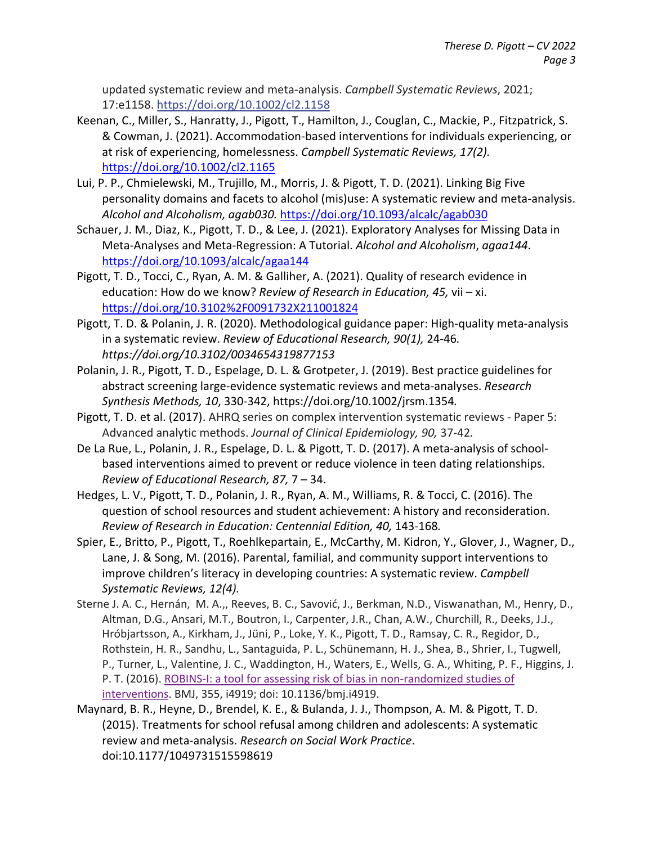updated systematic review and meta-analysis. *Campbell Systematic Reviews*, 2021; 17:e1158. [https://doi.org/10.1002/cl2.1158](https://nam11.safelinks.protection.outlook.com/?url=https%3A%2F%2Fcampbellcollaboration.us12.list-manage.com%2Ftrack%2Fclick%3Fu%3Dfa4fa18013c8141f548074446%26id%3D2f14a58b68%26e%3Dc1eb20ff95&data=04%7C01%7Ctpigott%40gsu.edu%7Cff79d17fda7d483b0a0e08d98f176d87%7C515ad73d8d5e4169895c9789dc742a70%7C0%7C0%7C637698153052996936%7CUnknown%7CTWFpbGZsb3d8eyJWIjoiMC4wLjAwMDAiLCJQIjoiV2luMzIiLCJBTiI6Ik1haWwiLCJXVCI6Mn0%3D%7C1000&sdata=7Y2mWHhZUsvSfuNGKJnr7gmCTf8mnXQCqYCDRZuOmPQ%3D&reserved=0)

- Keenan, C., Miller, S., Hanratty, J., Pigott, T., Hamilton, J., Couglan, C., Mackie, P., Fitzpatrick, S. & Cowman, J. (2021). Accommodation-based interventions for individuals experiencing, or at risk of experiencing, homelessness. *Campbell Systematic Reviews, 17(2).*  <https://doi.org/10.1002/cl2.1165>
- Lui, P. P., Chmielewski, M., Trujillo, M., Morris, J. & Pigott, T. D. (2021). Linking Big Five personality domains and facets to alcohol (mis)use: A systematic review and meta-analysis. *Alcohol and Alcoholism, agab030.* <https://doi.org/10.1093/alcalc/agab030>
- Schauer, J. M., Diaz, K., Pigott, T. D., & Lee, J. (2021). Exploratory Analyses for Missing Data in Meta-Analyses and Meta-Regression: A Tutorial. *Alcohol and Alcoholism*, *agaa144*. <https://doi.org/10.1093/alcalc/agaa144>
- Pigott, T. D., Tocci, C., Ryan, A. M. & Galliher, A. (2021). Quality of research evidence in education: How do we know? *Review of Research in Education, 45,* vii – xi. <https://doi.org/10.3102%2F0091732X211001824>
- Pigott, T. D. & Polanin, J. R. (2020). Methodological guidance paper: High-quality meta-analysis in a systematic review. *Review of Educational Research, 90(1),* 24-46*. https://doi.org/10.3102/0034654319877153*
- Polanin, J. R., Pigott, T. D., Espelage, D. L. & Grotpeter, J. (2019). Best practice guidelines for abstract screening large-evidence systematic reviews and meta-analyses. *Research Synthesis Methods, 10*, 330-342, https://doi.org/10.1002/jrsm.1354*.*
- Pigott, T. D. et al. (2017). AHRQ series on complex intervention systematic reviews Paper 5: Advanced analytic methods. *Journal of Clinical Epidemiology, 90,* 37-42*.*
- De La Rue, L., Polanin, J. R., Espelage, D. L. & Pigott, T. D. (2017). A meta-analysis of schoolbased interventions aimed to prevent or reduce violence in teen dating relationships. *Review of Educational Research, 87,* 7 – 34.
- Hedges, L. V., Pigott, T. D., Polanin, J. R., Ryan, A. M., Williams, R. & Tocci, C. (2016). The question of school resources and student achievement: A history and reconsideration. *Review of Research in Education: Centennial Edition, 40,* 143-168*.*
- Spier, E., Britto, P., Pigott, T., Roehlkepartain, E., McCarthy, M. Kidron, Y., Glover, J., Wagner, D., Lane, J. & Song, M. (2016). Parental, familial, and community support interventions to improve children's literacy in developing countries: A systematic review. *Campbell Systematic Reviews, 12(4).*
- Sterne J. A. C., Hernán, M. A.,, Reeves, B. C., Savović, J., Berkman, N.D., Viswanathan, M., Henry, D., Altman, D.G., Ansari, M.T., Boutron, I., Carpenter, J.R., Chan, A.W., Churchill, R., Deeks, J.J., Hróbjartsson, A., Kirkham, J., Jüni, P., Loke, Y. K., Pigott, T. D., Ramsay, C. R., Regidor, D., Rothstein, H. R., Sandhu, L., Santaguida, P. L., Schünemann, H. J., Shea, B., Shrier, I., Tugwell, P., Turner, L., Valentine, J. C., Waddington, H., Waters, E., Wells, G. A., Whiting, P. F., Higgins, J. P. T. (2016). ROBINS-I: a tool for assessing risk of bias in non-randomized studies of [interventions.](http://www.google.com/url?q=http%3A%2F%2Fwww.bmj.com%2Fcontent%2F355%2Fbmj.i4919&sa=D&sntz=1&usg=AFQjCNGYIu26tOB6p6IYibG2FTB7cU-gJQ) BMJ, 355, i4919; doi: 10.1136/bmj.i4919.
- Maynard, B. R., Heyne, D., Brendel, K. E., & Bulanda, J. J., Thompson, A. M. & Pigott, T. D. (2015). Treatments for school refusal among children and adolescents: A systematic review and meta-analysis. *Research on Social Work Practice*. doi:10.1177/1049731515598619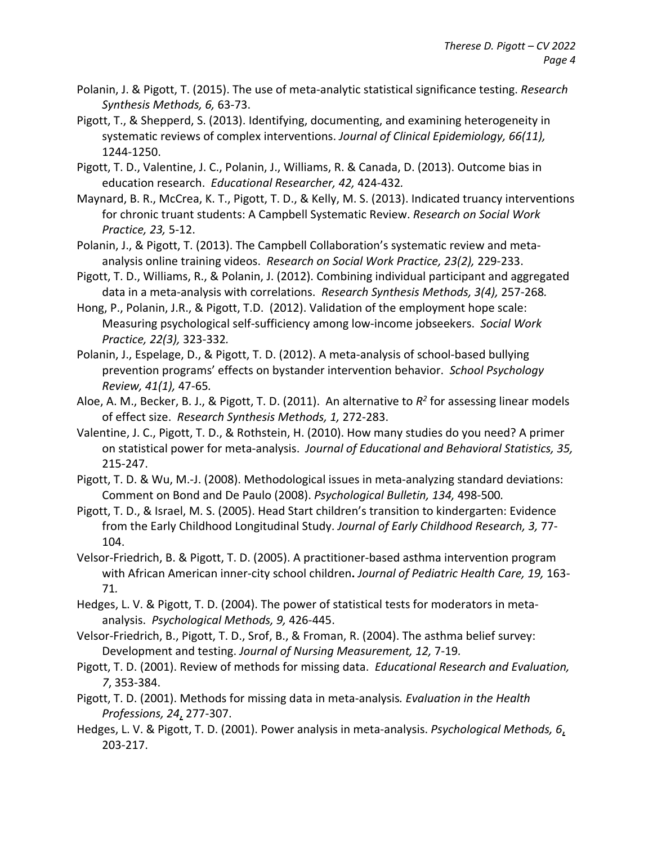- Polanin, J. & Pigott, T. (2015). The use of meta-analytic statistical significance testing. *Research Synthesis Methods, 6,* 63-73.
- Pigott, T., & Shepperd, S. (2013). Identifying, documenting, and examining heterogeneity in systematic reviews of complex interventions. *Journal of Clinical Epidemiology, 66(11),*  1244-1250.
- Pigott, T. D., Valentine, J. C., Polanin, J., Williams, R. & Canada, D. (2013). Outcome bias in education research. *Educational Researcher, 42,* 424-432*.*
- Maynard, B. R., McCrea, K. T., Pigott, T. D., & Kelly, M. S. (2013). Indicated truancy interventions for chronic truant students: A Campbell Systematic Review. *Research on Social Work Practice, 23,* 5-12.
- Polanin, J., & Pigott, T. (2013). The Campbell Collaboration's systematic review and metaanalysis online training videos. *Research on Social Work Practice, 23(2),* 229-233.
- Pigott, T. D., Williams, R., & Polanin, J. (2012). Combining individual participant and aggregated data in a meta-analysis with correlations. *Research Synthesis Methods, 3(4),* 257-268*.*
- Hong, P., Polanin, J.R., & Pigott, T.D. (2012). Validation of the employment hope scale: Measuring psychological self-sufficiency among low-income jobseekers. *Social Work Practice, 22(3),* 323-332*.*
- Polanin, J., Espelage, D., & Pigott, T. D. (2012). A meta-analysis of school-based bullying prevention programs' effects on bystander intervention behavior. *School Psychology Review, 41(1),* 47-65*.*
- Aloe, A. M., Becker, B. J., & Pigott, T. D. (2011). An alternative to *R2* for assessing linear models of effect size. *Research Synthesis Methods, 1,* 272-283.
- Valentine, J. C., Pigott, T. D., & Rothstein, H. (2010). How many studies do you need? A primer on statistical power for meta-analysis. *Journal of Educational and Behavioral Statistics, 35,*  215-247.
- Pigott, T. D. & Wu, M.-J. (2008). Methodological issues in meta-analyzing standard deviations: Comment on Bond and De Paulo (2008). *Psychological Bulletin, 134,* 498-500*.*
- Pigott, T. D., & Israel, M. S. (2005). Head Start children's transition to kindergarten: Evidence from the Early Childhood Longitudinal Study. *Journal of Early Childhood Research, 3,* 77- 104.
- Velsor-Friedrich, B. & Pigott, T. D. (2005). A practitioner-based asthma intervention program with African American inner-city school children**.** *Journal of Pediatric Health Care, 19,* 163- 71*.*
- Hedges, L. V. & Pigott, T. D. (2004). The power of statistical tests for moderators in metaanalysis. *Psychological Methods, 9,* 426-445.
- Velsor-Friedrich, B., Pigott, T. D., Srof, B., & Froman, R. (2004). The asthma belief survey: Development and testing. *Journal of Nursing Measurement, 12,* 7-19*.*
- Pigott, T. D. (2001). Review of methods for missing data. *Educational Research and Evaluation, 7*, 353-384.
- Pigott, T. D. (2001). Methods for missing data in meta-analysis*. Evaluation in the Health Professions, 24*, 277-307.
- Hedges, L. V. & Pigott, T. D. (2001). Power analysis in meta-analysis. *Psychological Methods, 6*, 203-217.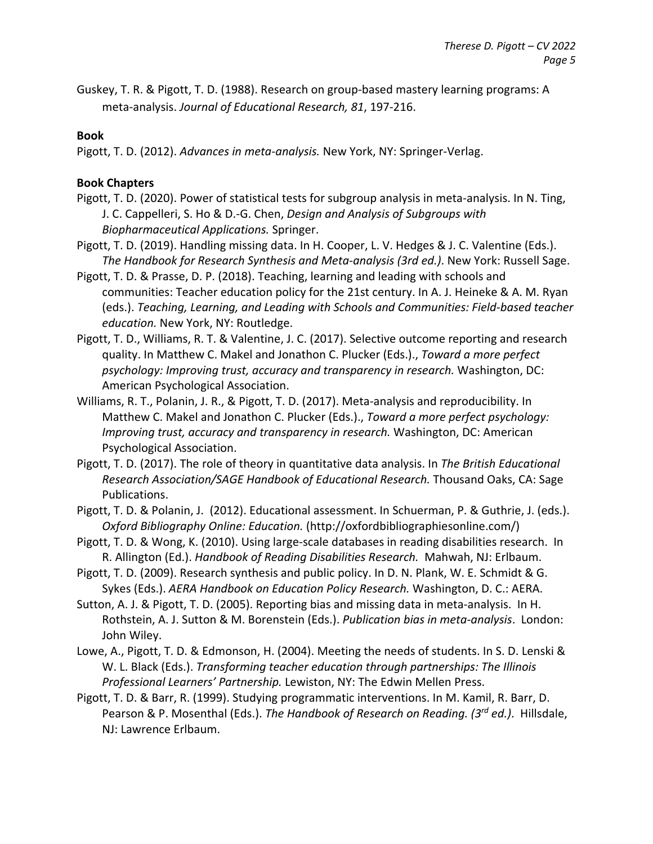Guskey, T. R. & Pigott, T. D. (1988). Research on group-based mastery learning programs: A meta-analysis. *Journal of Educational Research, 81*, 197-216.

#### **Book**

Pigott, T. D. (2012). *Advances in meta-analysis.* New York, NY: Springer-Verlag.

### **Book Chapters**

- Pigott, T. D. (2020). Power of statistical tests for subgroup analysis in meta-analysis. In N. Ting, J. C. Cappelleri, S. Ho & D.-G. Chen, *Design and Analysis of Subgroups with Biopharmaceutical Applications.* Springer.
- Pigott, T. D. (2019). Handling missing data. In H. Cooper, L. V. Hedges & J. C. Valentine (Eds.). *The Handbook for Research Synthesis and Meta-analysis (3rd ed.)*. New York: Russell Sage.
- Pigott, T. D. & Prasse, D. P. (2018). Teaching, learning and leading with schools and communities: Teacher education policy for the 21st century. In A. J. Heineke & A. M. Ryan (eds.). *Teaching, Learning, and Leading with Schools and Communities: Field-based teacher education.* New York, NY: Routledge.
- Pigott, T. D., Williams, R. T. & Valentine, J. C. (2017). Selective outcome reporting and research quality. In Matthew C. Makel and Jonathon C. Plucker (Eds.)., *Toward a more perfect psychology: Improving trust, accuracy and transparency in research.* Washington, DC: American Psychological Association.
- Williams, R. T., Polanin, J. R., & Pigott, T. D. (2017). Meta-analysis and reproducibility. In Matthew C. Makel and Jonathon C. Plucker (Eds.)., *Toward a more perfect psychology: Improving trust, accuracy and transparency in research.* Washington, DC: American Psychological Association.
- Pigott, T. D. (2017). The role of theory in quantitative data analysis. In *The British Educational Research Association/SAGE Handbook of Educational Research.* Thousand Oaks, CA: Sage Publications.
- Pigott, T. D. & Polanin, J. (2012). Educational assessment. In Schuerman, P. & Guthrie, J. (eds.). *Oxford Bibliography Online: Education.* (http://oxfordbibliographiesonline.com/)
- Pigott, T. D. & Wong, K. (2010). Using large-scale databases in reading disabilities research. In R. Allington (Ed.). *Handbook of Reading Disabilities Research.* Mahwah, NJ: Erlbaum.
- Pigott, T. D. (2009). Research synthesis and public policy. In D. N. Plank, W. E. Schmidt & G. Sykes (Eds.). *AERA Handbook on Education Policy Research.* Washington, D. C.: AERA.
- Sutton, A. J. & Pigott, T. D. (2005). Reporting bias and missing data in meta-analysis. In H. Rothstein, A. J. Sutton & M. Borenstein (Eds.). *Publication bias in meta-analysis*. London: John Wiley.
- Lowe, A., Pigott, T. D. & Edmonson, H. (2004). Meeting the needs of students. In S. D. Lenski & W. L. Black (Eds.). *Transforming teacher education through partnerships: The Illinois Professional Learners' Partnership.* Lewiston, NY: The Edwin Mellen Press.
- Pigott, T. D. & Barr, R. (1999). Studying programmatic interventions. In M. Kamil, R. Barr, D. Pearson & P. Mosenthal (Eds.). *The Handbook of Research on Reading. (3rd ed.)*. Hillsdale, NJ: Lawrence Erlbaum.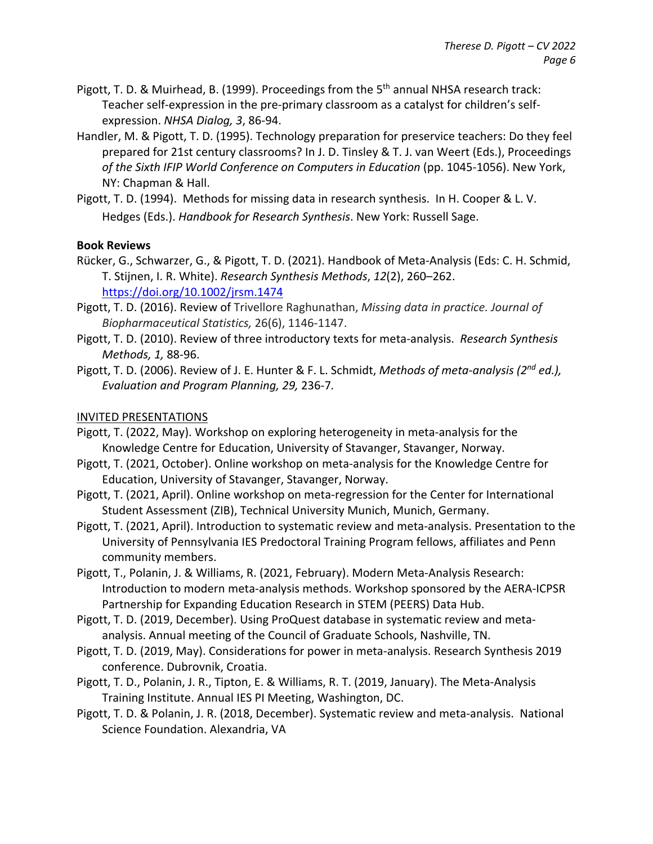- Pigott, T. D. & Muirhead, B. (1999). Proceedings from the 5<sup>th</sup> annual NHSA research track: Teacher self-expression in the pre-primary classroom as a catalyst for children's selfexpression. *NHSA Dialog, 3*, 86-94.
- Handler, M. & Pigott, T. D. (1995). Technology preparation for preservice teachers: Do they feel prepared for 21st century classrooms? In J. D. Tinsley & T. J. van Weert (Eds.), Proceedings *of the Sixth IFIP World Conference on Computers in Education* (pp. 1045-1056). New York, NY: Chapman & Hall.
- Pigott, T. D. (1994). Methods for missing data in research synthesis. In H. Cooper & L. V. Hedges (Eds.). *Handbook for Research Synthesis*. New York: Russell Sage.

#### **Book Reviews**

- Rücker, G., Schwarzer, G., & Pigott, T. D. (2021). Handbook of Meta-Analysis (Eds: C. H. Schmid, T. Stijnen, I. R. White). *Research Synthesis Methods*, *12*(2), 260–262. <https://doi.org/10.1002/jrsm.1474>
- Pigott, T. D. (2016). Review of Trivellore Raghunathan, *Missing data in practice. Journal of Biopharmaceutical Statistics,* 26(6), 1146-1147.
- Pigott, T. D. (2010). Review of three introductory texts for meta-analysis. *Research Synthesis Methods, 1,* 88-96.
- Pigott, T. D. (2006). Review of J. E. Hunter & F. L. Schmidt, *Methods of meta-analysis (2nd ed.), Evaluation and Program Planning, 29,* 236-7*.*

#### INVITED PRESENTATIONS

- Pigott, T. (2022, May). Workshop on exploring heterogeneity in meta-analysis for the Knowledge Centre for Education, University of Stavanger, Stavanger, Norway.
- Pigott, T. (2021, October). Online workshop on meta-analysis for the Knowledge Centre for Education, University of Stavanger, Stavanger, Norway.
- Pigott, T. (2021, April). Online workshop on meta-regression for the Center for International Student Assessment (ZIB), Technical University Munich, Munich, Germany.
- Pigott, T. (2021, April). Introduction to systematic review and meta-analysis. Presentation to the University of Pennsylvania IES Predoctoral Training Program fellows, affiliates and Penn community members.
- Pigott, T., Polanin, J. & Williams, R. (2021, February). Modern Meta-Analysis Research: Introduction to modern meta-analysis methods. Workshop sponsored by the AERA-ICPSR Partnership for Expanding Education Research in STEM (PEERS) Data Hub.
- Pigott, T. D. (2019, December). Using ProQuest database in systematic review and metaanalysis. Annual meeting of the Council of Graduate Schools, Nashville, TN.
- Pigott, T. D. (2019, May). Considerations for power in meta-analysis. Research Synthesis 2019 conference. Dubrovnik, Croatia.
- Pigott, T. D., Polanin, J. R., Tipton, E. & Williams, R. T. (2019, January). The Meta-Analysis Training Institute. Annual IES PI Meeting, Washington, DC.
- Pigott, T. D. & Polanin, J. R. (2018, December). Systematic review and meta-analysis. National Science Foundation. Alexandria, VA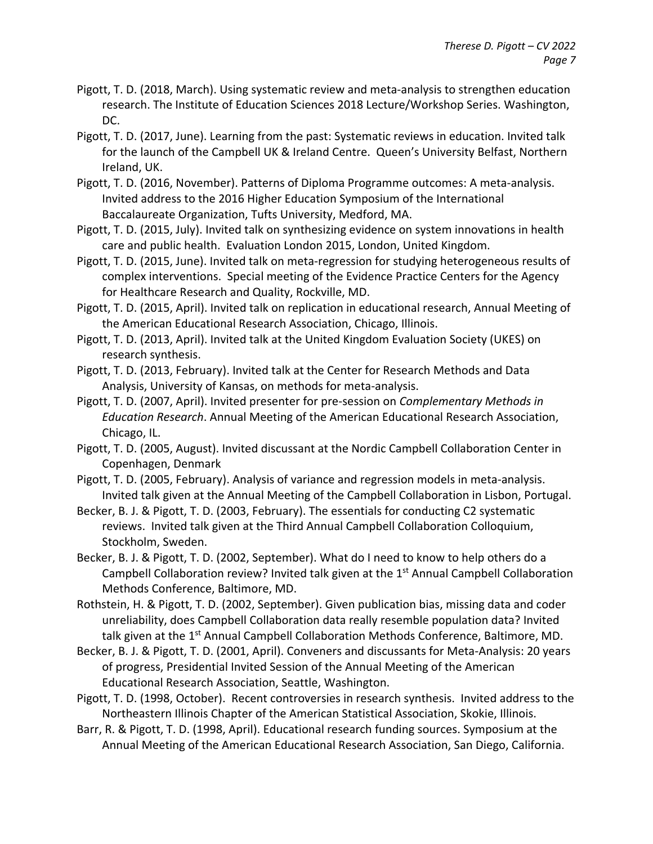- Pigott, T. D. (2018, March). Using systematic review and meta-analysis to strengthen education research. The Institute of Education Sciences 2018 Lecture/Workshop Series. Washington, DC.
- Pigott, T. D. (2017, June). Learning from the past: Systematic reviews in education. Invited talk for the launch of the Campbell UK & Ireland Centre. Queen's University Belfast, Northern Ireland, UK.
- Pigott, T. D. (2016, November). Patterns of Diploma Programme outcomes: A meta-analysis. Invited address to the 2016 Higher Education Symposium of the International Baccalaureate Organization, Tufts University, Medford, MA.
- Pigott, T. D. (2015, July). Invited talk on synthesizing evidence on system innovations in health care and public health. Evaluation London 2015, London, United Kingdom.
- Pigott, T. D. (2015, June). Invited talk on meta-regression for studying heterogeneous results of complex interventions. Special meeting of the Evidence Practice Centers for the Agency for Healthcare Research and Quality, Rockville, MD.
- Pigott, T. D. (2015, April). Invited talk on replication in educational research, Annual Meeting of the American Educational Research Association, Chicago, Illinois.
- Pigott, T. D. (2013, April). Invited talk at the United Kingdom Evaluation Society (UKES) on research synthesis.
- Pigott, T. D. (2013, February). Invited talk at the Center for Research Methods and Data Analysis, University of Kansas, on methods for meta-analysis.
- Pigott, T. D. (2007, April). Invited presenter for pre-session on *Complementary Methods in Education Research*. Annual Meeting of the American Educational Research Association, Chicago, IL.
- Pigott, T. D. (2005, August). Invited discussant at the Nordic Campbell Collaboration Center in Copenhagen, Denmark
- Pigott, T. D. (2005, February). Analysis of variance and regression models in meta-analysis. Invited talk given at the Annual Meeting of the Campbell Collaboration in Lisbon, Portugal.
- Becker, B. J. & Pigott, T. D. (2003, February). The essentials for conducting C2 systematic reviews. Invited talk given at the Third Annual Campbell Collaboration Colloquium, Stockholm, Sweden.
- Becker, B. J. & Pigott, T. D. (2002, September). What do I need to know to help others do a Campbell Collaboration review? Invited talk given at the 1<sup>st</sup> Annual Campbell Collaboration Methods Conference, Baltimore, MD.
- Rothstein, H. & Pigott, T. D. (2002, September). Given publication bias, missing data and coder unreliability, does Campbell Collaboration data really resemble population data? Invited talk given at the 1<sup>st</sup> Annual Campbell Collaboration Methods Conference, Baltimore, MD.
- Becker, B. J. & Pigott, T. D. (2001, April). Conveners and discussants for Meta-Analysis: 20 years of progress, Presidential Invited Session of the Annual Meeting of the American Educational Research Association, Seattle, Washington.
- Pigott, T. D. (1998, October). Recent controversies in research synthesis. Invited address to the Northeastern Illinois Chapter of the American Statistical Association, Skokie, Illinois.
- Barr, R. & Pigott, T. D. (1998, April). Educational research funding sources. Symposium at the Annual Meeting of the American Educational Research Association, San Diego, California.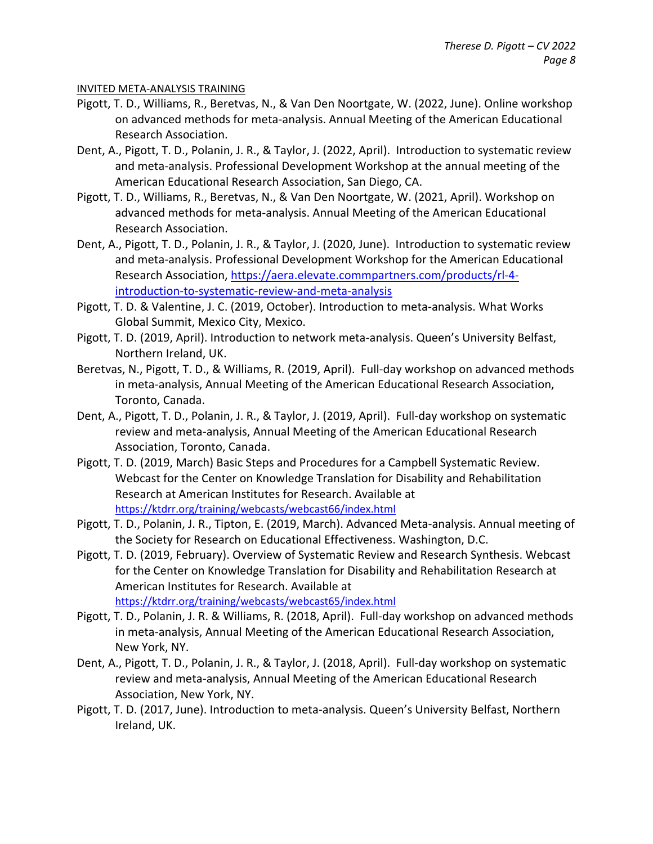#### INVITED META-ANALYSIS TRAINING

- Pigott, T. D., Williams, R., Beretvas, N., & Van Den Noortgate, W. (2022, June). Online workshop on advanced methods for meta-analysis. Annual Meeting of the American Educational Research Association.
- Dent, A., Pigott, T. D., Polanin, J. R., & Taylor, J. (2022, April). Introduction to systematic review and meta-analysis. Professional Development Workshop at the annual meeting of the American Educational Research Association, San Diego, CA.
- Pigott, T. D., Williams, R., Beretvas, N., & Van Den Noortgate, W. (2021, April). Workshop on advanced methods for meta-analysis. Annual Meeting of the American Educational Research Association.
- Dent, A., Pigott, T. D., Polanin, J. R., & Taylor, J. (2020, June). Introduction to systematic review and meta-analysis. Professional Development Workshop for the American Educational Research Association, [https://aera.elevate.commpartners.com/products/rl-4](https://aera.elevate.commpartners.com/products/rl-4-introduction-to-systematic-review-and-meta-analysis) [introduction-to-systematic-review-and-meta-analysis](https://aera.elevate.commpartners.com/products/rl-4-introduction-to-systematic-review-and-meta-analysis)
- Pigott, T. D. & Valentine, J. C. (2019, October). Introduction to meta-analysis. What Works Global Summit, Mexico City, Mexico.
- Pigott, T. D. (2019, April). Introduction to network meta-analysis. Queen's University Belfast, Northern Ireland, UK.
- Beretvas, N., Pigott, T. D., & Williams, R. (2019, April). Full-day workshop on advanced methods in meta-analysis, Annual Meeting of the American Educational Research Association, Toronto, Canada.
- Dent, A., Pigott, T. D., Polanin, J. R., & Taylor, J. (2019, April). Full-day workshop on systematic review and meta-analysis, Annual Meeting of the American Educational Research Association, Toronto, Canada.
- Pigott, T. D. (2019, March) Basic Steps and Procedures for a Campbell Systematic Review. Webcast for the Center on Knowledge Translation for Disability and Rehabilitation Research at American Institutes for Research. Available at <https://ktdrr.org/training/webcasts/webcast66/index.html>
- Pigott, T. D., Polanin, J. R., Tipton, E. (2019, March). Advanced Meta-analysis. Annual meeting of the Society for Research on Educational Effectiveness. Washington, D.C.
- Pigott, T. D. (2019, February). Overview of Systematic Review and Research Synthesis. Webcast for the Center on Knowledge Translation for Disability and Rehabilitation Research at American Institutes for Research. Available at <https://ktdrr.org/training/webcasts/webcast65/index.html>
- Pigott, T. D., Polanin, J. R. & Williams, R. (2018, April). Full-day workshop on advanced methods in meta-analysis, Annual Meeting of the American Educational Research Association, New York, NY.
- Dent, A., Pigott, T. D., Polanin, J. R., & Taylor, J. (2018, April). Full-day workshop on systematic review and meta-analysis, Annual Meeting of the American Educational Research Association, New York, NY.
- Pigott, T. D. (2017, June). Introduction to meta-analysis. Queen's University Belfast, Northern Ireland, UK.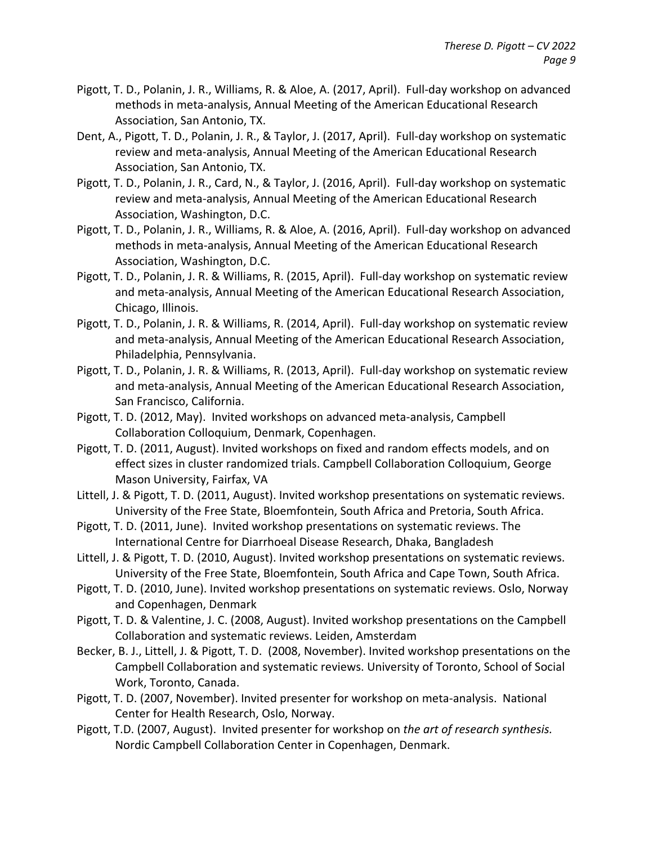- Pigott, T. D., Polanin, J. R., Williams, R. & Aloe, A. (2017, April). Full-day workshop on advanced methods in meta-analysis, Annual Meeting of the American Educational Research Association, San Antonio, TX.
- Dent, A., Pigott, T. D., Polanin, J. R., & Taylor, J. (2017, April). Full-day workshop on systematic review and meta-analysis, Annual Meeting of the American Educational Research Association, San Antonio, TX.
- Pigott, T. D., Polanin, J. R., Card, N., & Taylor, J. (2016, April). Full-day workshop on systematic review and meta-analysis, Annual Meeting of the American Educational Research Association, Washington, D.C.
- Pigott, T. D., Polanin, J. R., Williams, R. & Aloe, A. (2016, April). Full-day workshop on advanced methods in meta-analysis, Annual Meeting of the American Educational Research Association, Washington, D.C.
- Pigott, T. D., Polanin, J. R. & Williams, R. (2015, April). Full-day workshop on systematic review and meta-analysis, Annual Meeting of the American Educational Research Association, Chicago, Illinois.
- Pigott, T. D., Polanin, J. R. & Williams, R. (2014, April). Full-day workshop on systematic review and meta-analysis, Annual Meeting of the American Educational Research Association, Philadelphia, Pennsylvania.
- Pigott, T. D., Polanin, J. R. & Williams, R. (2013, April). Full-day workshop on systematic review and meta-analysis, Annual Meeting of the American Educational Research Association, San Francisco, California.
- Pigott, T. D. (2012, May). Invited workshops on advanced meta-analysis, Campbell Collaboration Colloquium, Denmark, Copenhagen.
- Pigott, T. D. (2011, August). Invited workshops on fixed and random effects models, and on effect sizes in cluster randomized trials. Campbell Collaboration Colloquium, George Mason University, Fairfax, VA
- Littell, J. & Pigott, T. D. (2011, August). Invited workshop presentations on systematic reviews. University of the Free State, Bloemfontein, South Africa and Pretoria, South Africa.
- Pigott, T. D. (2011, June). Invited workshop presentations on systematic reviews. The International Centre for Diarrhoeal Disease Research, Dhaka, Bangladesh
- Littell, J. & Pigott, T. D. (2010, August). Invited workshop presentations on systematic reviews. University of the Free State, Bloemfontein, South Africa and Cape Town, South Africa.
- Pigott, T. D. (2010, June). Invited workshop presentations on systematic reviews. Oslo, Norway and Copenhagen, Denmark
- Pigott, T. D. & Valentine, J. C. (2008, August). Invited workshop presentations on the Campbell Collaboration and systematic reviews. Leiden, Amsterdam
- Becker, B. J., Littell, J. & Pigott, T. D. (2008, November). Invited workshop presentations on the Campbell Collaboration and systematic reviews. University of Toronto, School of Social Work, Toronto, Canada.
- Pigott, T. D. (2007, November). Invited presenter for workshop on meta-analysis. National Center for Health Research, Oslo, Norway.
- Pigott, T.D. (2007, August). Invited presenter for workshop on *the art of research synthesis.* Nordic Campbell Collaboration Center in Copenhagen, Denmark.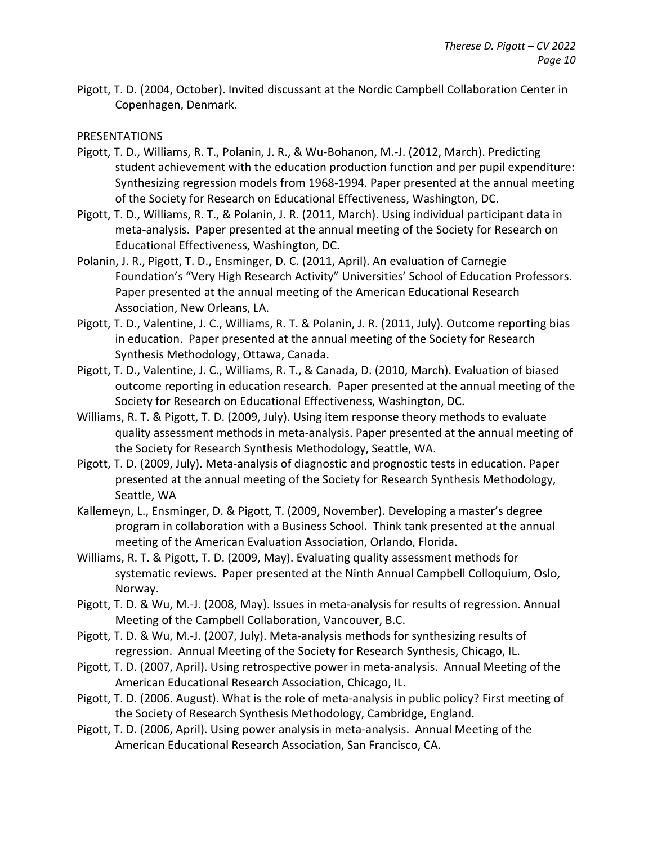Pigott, T. D. (2004, October). Invited discussant at the Nordic Campbell Collaboration Center in Copenhagen, Denmark.

### PRESENTATIONS

- Pigott, T. D., Williams, R. T., Polanin, J. R., & Wu-Bohanon, M.-J. (2012, March). Predicting student achievement with the education production function and per pupil expenditure: Synthesizing regression models from 1968-1994. Paper presented at the annual meeting of the Society for Research on Educational Effectiveness, Washington, DC.
- Pigott, T. D., Williams, R. T., & Polanin, J. R. (2011, March). Using individual participant data in meta-analysis. Paper presented at the annual meeting of the Society for Research on Educational Effectiveness, Washington, DC.
- Polanin, J. R., Pigott, T. D., Ensminger, D. C. (2011, April). An evaluation of Carnegie Foundation's "Very High Research Activity" Universities' School of Education Professors. Paper presented at the annual meeting of the American Educational Research Association, New Orleans, LA.
- Pigott, T. D., Valentine, J. C., Williams, R. T. & Polanin, J. R. (2011, July). Outcome reporting bias in education. Paper presented at the annual meeting of the Society for Research Synthesis Methodology, Ottawa, Canada.
- Pigott, T. D., Valentine, J. C., Williams, R. T., & Canada, D. (2010, March). Evaluation of biased outcome reporting in education research. Paper presented at the annual meeting of the Society for Research on Educational Effectiveness, Washington, DC.
- Williams, R. T. & Pigott, T. D. (2009, July). Using item response theory methods to evaluate quality assessment methods in meta-analysis. Paper presented at the annual meeting of the Society for Research Synthesis Methodology, Seattle, WA.
- Pigott, T. D. (2009, July). Meta-analysis of diagnostic and prognostic tests in education. Paper presented at the annual meeting of the Society for Research Synthesis Methodology, Seattle, WA
- Kallemeyn, L., Ensminger, D. & Pigott, T. (2009, November). Developing a master's degree program in collaboration with a Business School. Think tank presented at the annual meeting of the American Evaluation Association, Orlando, Florida.
- Williams, R. T. & Pigott, T. D. (2009, May). Evaluating quality assessment methods for systematic reviews. Paper presented at the Ninth Annual Campbell Colloquium, Oslo, Norway.
- Pigott, T. D. & Wu, M.-J. (2008, May). Issues in meta-analysis for results of regression. Annual Meeting of the Campbell Collaboration, Vancouver, B.C.
- Pigott, T. D. & Wu, M.-J. (2007, July). Meta-analysis methods for synthesizing results of regression. Annual Meeting of the Society for Research Synthesis, Chicago, IL.
- Pigott, T. D. (2007, April). Using retrospective power in meta-analysis. Annual Meeting of the American Educational Research Association, Chicago, IL.
- Pigott, T. D. (2006. August). What is the role of meta-analysis in public policy? First meeting of the Society of Research Synthesis Methodology, Cambridge, England.
- Pigott, T. D. (2006, April). Using power analysis in meta-analysis. Annual Meeting of the American Educational Research Association, San Francisco, CA.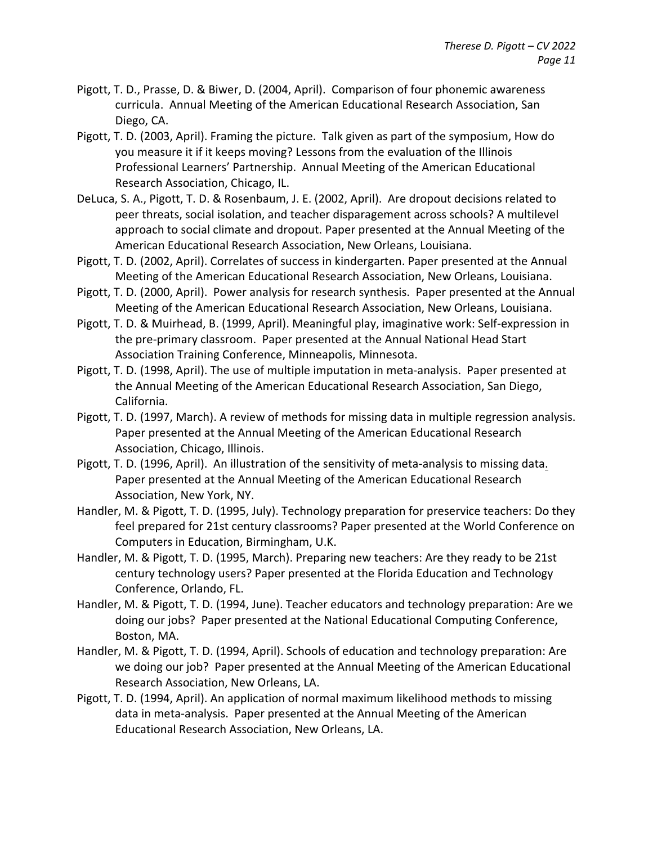- Pigott, T. D., Prasse, D. & Biwer, D. (2004, April). Comparison of four phonemic awareness curricula. Annual Meeting of the American Educational Research Association, San Diego, CA.
- Pigott, T. D. (2003, April). Framing the picture. Talk given as part of the symposium, How do you measure it if it keeps moving? Lessons from the evaluation of the Illinois Professional Learners' Partnership. Annual Meeting of the American Educational Research Association, Chicago, IL.
- DeLuca, S. A., Pigott, T. D. & Rosenbaum, J. E. (2002, April). Are dropout decisions related to peer threats, social isolation, and teacher disparagement across schools? A multilevel approach to social climate and dropout. Paper presented at the Annual Meeting of the American Educational Research Association, New Orleans, Louisiana.
- Pigott, T. D. (2002, April). Correlates of success in kindergarten. Paper presented at the Annual Meeting of the American Educational Research Association, New Orleans, Louisiana.
- Pigott, T. D. (2000, April). Power analysis for research synthesis. Paper presented at the Annual Meeting of the American Educational Research Association, New Orleans, Louisiana.
- Pigott, T. D. & Muirhead, B. (1999, April). Meaningful play, imaginative work: Self-expression in the pre-primary classroom. Paper presented at the Annual National Head Start Association Training Conference, Minneapolis, Minnesota.
- Pigott, T. D. (1998, April). The use of multiple imputation in meta-analysis. Paper presented at the Annual Meeting of the American Educational Research Association, San Diego, California.
- Pigott, T. D. (1997, March). A review of methods for missing data in multiple regression analysis. Paper presented at the Annual Meeting of the American Educational Research Association, Chicago, Illinois.
- Pigott, T. D. (1996, April). An illustration of the sensitivity of meta-analysis to missing data. Paper presented at the Annual Meeting of the American Educational Research Association, New York, NY.
- Handler, M. & Pigott, T. D. (1995, July). Technology preparation for preservice teachers: Do they feel prepared for 21st century classrooms? Paper presented at the World Conference on Computers in Education, Birmingham, U.K.
- Handler, M. & Pigott, T. D. (1995, March). Preparing new teachers: Are they ready to be 21st century technology users? Paper presented at the Florida Education and Technology Conference, Orlando, FL.
- Handler, M. & Pigott, T. D. (1994, June). Teacher educators and technology preparation: Are we doing our jobs? Paper presented at the National Educational Computing Conference, Boston, MA.
- Handler, M. & Pigott, T. D. (1994, April). Schools of education and technology preparation: Are we doing our job? Paper presented at the Annual Meeting of the American Educational Research Association, New Orleans, LA.
- Pigott, T. D. (1994, April). An application of normal maximum likelihood methods to missing data in meta-analysis. Paper presented at the Annual Meeting of the American Educational Research Association, New Orleans, LA.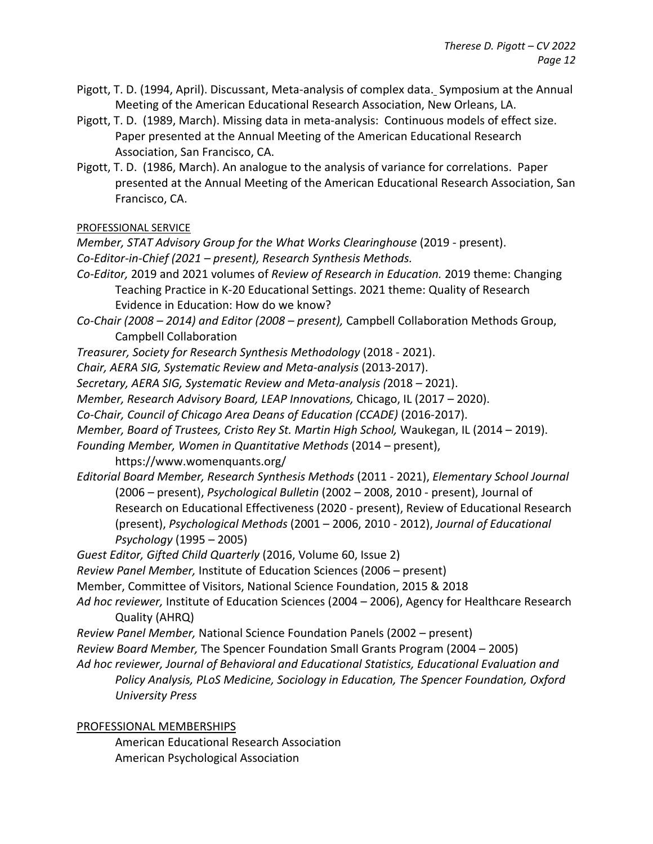- Pigott, T. D. (1994, April). Discussant, Meta-analysis of complex data. Symposium at the Annual Meeting of the American Educational Research Association, New Orleans, LA.
- Pigott, T. D. (1989, March). Missing data in meta-analysis: Continuous models of effect size. Paper presented at the Annual Meeting of the American Educational Research Association, San Francisco, CA.
- Pigott, T. D. (1986, March). An analogue to the analysis of variance for correlations. Paper presented at the Annual Meeting of the American Educational Research Association, San Francisco, CA.

PROFESSIONAL SERVICE

*Member, STAT Advisory Group for the What Works Clearinghouse* (2019 - present). *Co-Editor-in-Chief (2021 – present), Research Synthesis Methods.*

- *Co-Editor,* 2019 and 2021 volumes of *Review of Research in Education.* 2019 theme: Changing Teaching Practice in K-20 Educational Settings. 2021 theme: Quality of Research Evidence in Education: How do we know?
- *Co-Chair (2008 2014) and Editor (2008 present),* Campbell Collaboration Methods Group, Campbell Collaboration
- *Treasurer, Society for Research Synthesis Methodology* (2018 2021).
- *Chair, AERA SIG, Systematic Review and Meta-analysis* (2013-2017).
- *Secretary, AERA SIG, Systematic Review and Meta-analysis (*20182021).
- *Member, Research Advisory Board, LEAP Innovations,* Chicago, IL (2017 2020).
- *Co-Chair, Council of Chicago Area Deans of Education (CCADE)* (2016-2017).
- *Member, Board of Trustees, Cristo Rey St. Martin High School,* Waukegan, IL (2014 2019).
- *Founding Member, Women in Quantitative Methods* (2014 present),

https://www.womenquants.org/

*Editorial Board Member, Research Synthesis Methods* (2011 - 2021), *Elementary School Journal*  (2006 – present), *Psychological Bulletin* (2002 – 2008, 2010 - present), Journal of Research on Educational Effectiveness (2020 - present), Review of Educational Research (present), *Psychological Methods* (2001 – 2006, 2010 - 2012), *Journal of Educational Psychology* (1995 – 2005)

*Guest Editor, Gifted Child Quarterly* (2016, Volume 60, Issue 2)

- *Review Panel Member,* Institute of Education Sciences (2006 present)
- Member, Committee of Visitors, National Science Foundation, 2015 & 2018
- *Ad hoc reviewer,* Institute of Education Sciences (2004 2006), Agency for Healthcare Research Quality (AHRQ)
- *Review Panel Member,* National Science Foundation Panels (2002 present)
- *Review Board Member,* The Spencer Foundation Small Grants Program (2004 2005)
- *Ad hoc reviewer, Journal of Behavioral and Educational Statistics, Educational Evaluation and Policy Analysis, PLoS Medicine, Sociology in Education, The Spencer Foundation, Oxford University Press*

## PROFESSIONAL MEMBERSHIPS

American Educational Research Association American Psychological Association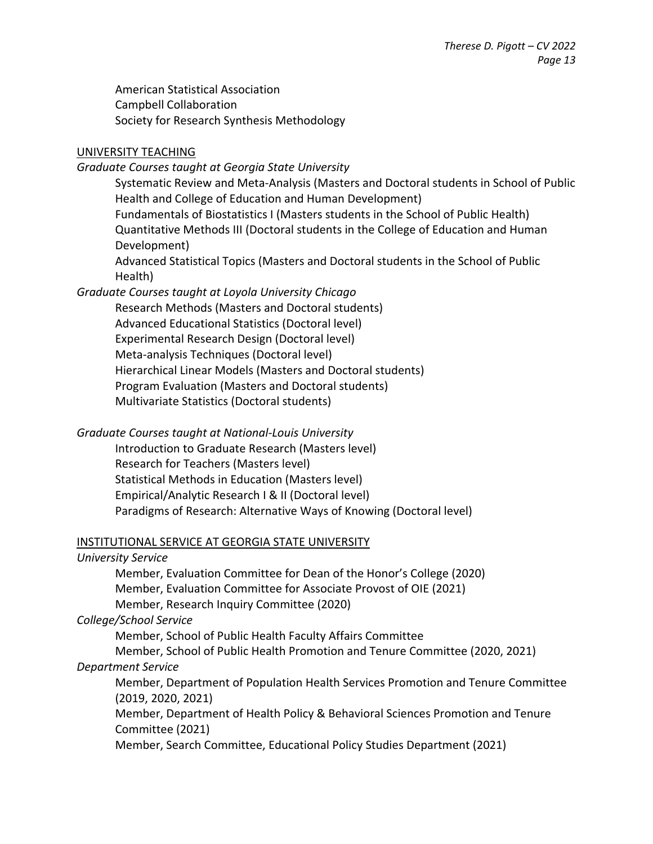American Statistical Association Campbell Collaboration Society for Research Synthesis Methodology

## UNIVERSITY TEACHING

## *Graduate Courses taught at Georgia State University*

Systematic Review and Meta-Analysis (Masters and Doctoral students in School of Public Health and College of Education and Human Development) Fundamentals of Biostatistics I (Masters students in the School of Public Health) Quantitative Methods III (Doctoral students in the College of Education and Human Development)

Advanced Statistical Topics (Masters and Doctoral students in the School of Public Health)

## *Graduate Courses taught at Loyola University Chicago*

Research Methods (Masters and Doctoral students) Advanced Educational Statistics (Doctoral level) Experimental Research Design (Doctoral level) Meta-analysis Techniques (Doctoral level) Hierarchical Linear Models (Masters and Doctoral students) Program Evaluation (Masters and Doctoral students) Multivariate Statistics (Doctoral students)

*Graduate Courses taught at National-Louis University* Introduction to Graduate Research (Masters level) Research for Teachers (Masters level) Statistical Methods in Education (Masters level) Empirical/Analytic Research I & II (Doctoral level) Paradigms of Research: Alternative Ways of Knowing (Doctoral level)

## INSTITUTIONAL SERVICE AT GEORGIA STATE UNIVERSITY

## *University Service*

Member, Evaluation Committee for Dean of the Honor's College (2020) Member, Evaluation Committee for Associate Provost of OIE (2021) Member, Research Inquiry Committee (2020)

# *College/School Service*

Member, School of Public Health Faculty Affairs Committee

Member, School of Public Health Promotion and Tenure Committee (2020, 2021) *Department Service*

Member, Department of Population Health Services Promotion and Tenure Committee (2019, 2020, 2021)

Member, Department of Health Policy & Behavioral Sciences Promotion and Tenure Committee (2021)

Member, Search Committee, Educational Policy Studies Department (2021)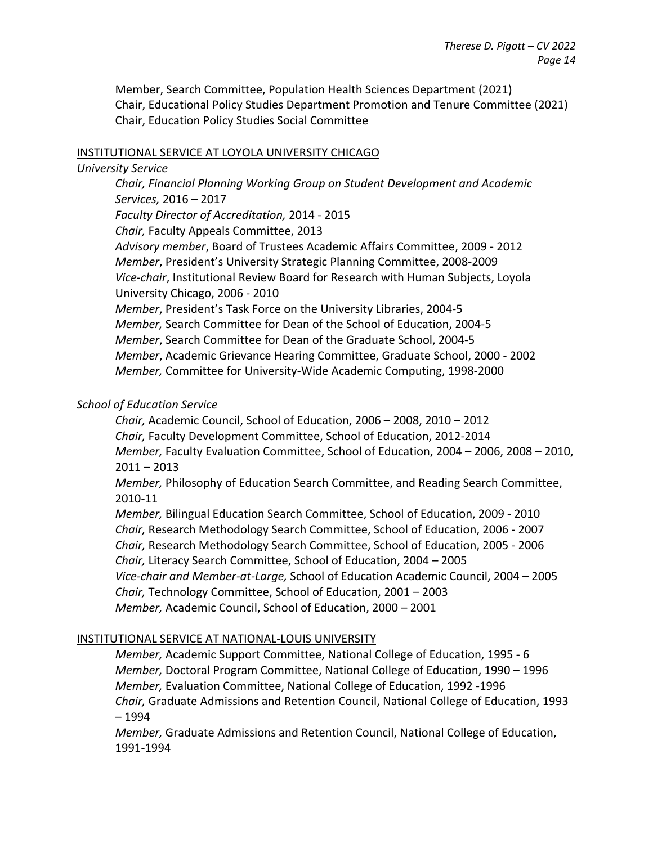Member, Search Committee, Population Health Sciences Department (2021) Chair, Educational Policy Studies Department Promotion and Tenure Committee (2021) Chair, Education Policy Studies Social Committee

#### INSTITUTIONAL SERVICE AT LOYOLA UNIVERSITY CHICAGO

#### *University Service*

*Chair, Financial Planning Working Group on Student Development and Academic Services,* 2016 – 2017 *Faculty Director of Accreditation,* 2014 - 2015 *Chair,* Faculty Appeals Committee, 2013 *Advisory member*, Board of Trustees Academic Affairs Committee, 2009 - 2012 *Member*, President's University Strategic Planning Committee, 2008-2009 *Vice-chair*, Institutional Review Board for Research with Human Subjects, Loyola University Chicago, 2006 - 2010 *Member*, President's Task Force on the University Libraries, 2004-5 *Member,* Search Committee for Dean of the School of Education, 2004-5 *Member*, Search Committee for Dean of the Graduate School, 2004-5 *Member*, Academic Grievance Hearing Committee, Graduate School, 2000 - 2002 *Member,* Committee for University-Wide Academic Computing, 1998-2000

#### *School of Education Service*

*Chair,* Academic Council, School of Education, 2006 – 2008, 2010 – 2012 *Chair,* Faculty Development Committee, School of Education, 2012-2014 *Member,* Faculty Evaluation Committee, School of Education, 2004 – 2006, 2008 – 2010, 2011 – 2013

*Member,* Philosophy of Education Search Committee, and Reading Search Committee, 2010-11

*Member,* Bilingual Education Search Committee, School of Education, 2009 - 2010 *Chair,* Research Methodology Search Committee, School of Education, 2006 - 2007 *Chair,* Research Methodology Search Committee, School of Education, 2005 - 2006 *Chair,* Literacy Search Committee, School of Education, 2004 – 2005 *Vice-chair and Member-at-Large,* School of Education Academic Council, 2004 – 2005 *Chair,* Technology Committee, School of Education, 2001 – 2003 *Member,* Academic Council, School of Education, 2000 – 2001

## INSTITUTIONAL SERVICE AT NATIONAL-LOUIS UNIVERSITY

*Member,* Academic Support Committee, National College of Education, 1995 - 6 *Member,* Doctoral Program Committee, National College of Education, 1990 – 1996 *Member,* Evaluation Committee, National College of Education, 1992 -1996 *Chair,* Graduate Admissions and Retention Council, National College of Education, 1993 – 1994

*Member,* Graduate Admissions and Retention Council, National College of Education, 1991-1994